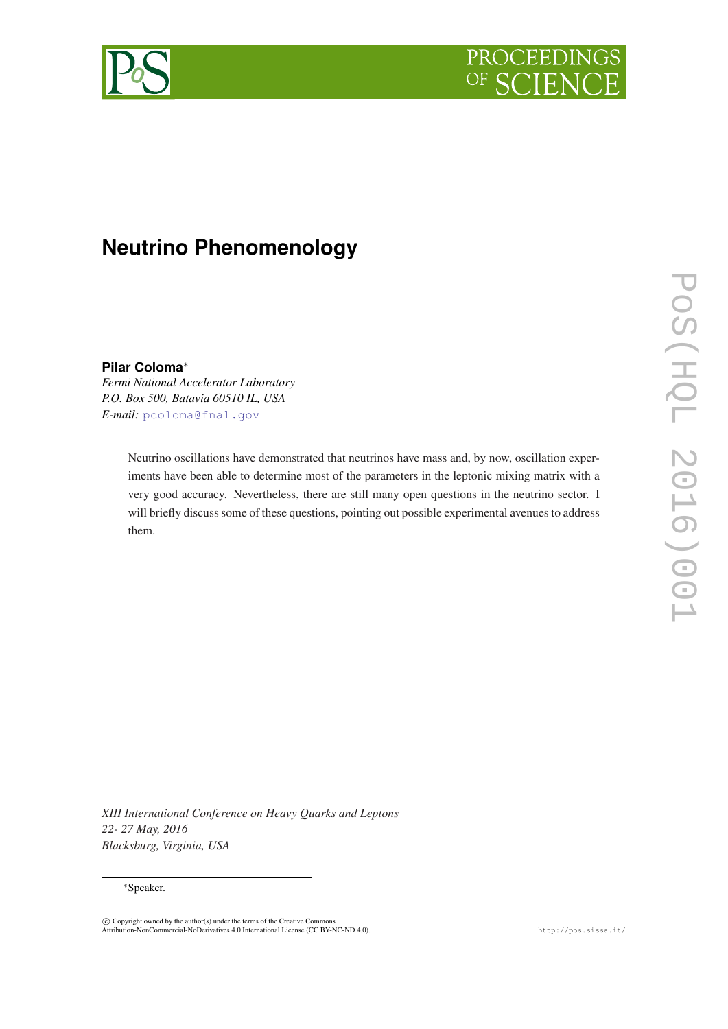



# **Neutrino Phenomenology**

**Pilar Coloma**<sup>∗</sup>

*Fermi National Accelerator Laboratory P.O. Box 500, Batavia 60510 IL, USA E-mail:* [pcoloma@fnal.gov](mailto:pcoloma@fnal.gov)

> Neutrino oscillations have demonstrated that neutrinos have mass and, by now, oscillation experiments have been able to determine most of the parameters in the leptonic mixing matrix with a very good accuracy. Nevertheless, there are still many open questions in the neutrino sector. I will briefly discuss some of these questions, pointing out possible experimental avenues to address them.

POS(ELQL 2016)001 PoS(HQL 2016)001

*XIII International Conference on Heavy Quarks and Leptons 22- 27 May, 2016 Blacksburg, Virginia, USA*

## <sup>∗</sup>Speaker.

c Copyright owned by the author(s) under the terms of the Creative Commons Attribution-NonCommercial-NoDerivatives 4.0 International License (CC BY-NC-ND 4.0). http://pos.sissa.it/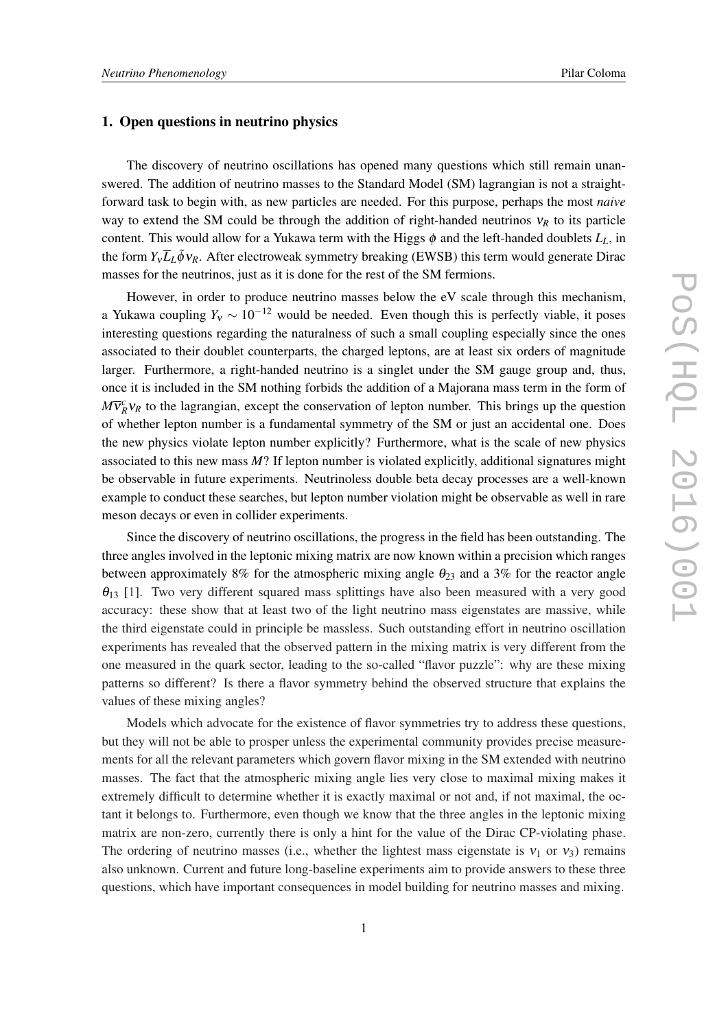# 1. Open questions in neutrino physics

The discovery of neutrino oscillations has opened many questions which still remain unanswered. The addition of neutrino masses to the Standard Model (SM) lagrangian is not a straightforward task to begin with, as new particles are needed. For this purpose, perhaps the most *naive* way to extend the SM could be through the addition of right-handed neutrinos  $v_R$  to its particle content. This would allow for a Yukawa term with the Higgs  $\phi$  and the left-handed doublets  $L_L$ , in the form  $Y_v \overline{L}_L \tilde{\phi} v_R$ . After electroweak symmetry breaking (EWSB) this term would generate Dirac masses for the neutrinos, just as it is done for the rest of the SM fermions.

However, in order to produce neutrino masses below the eV scale through this mechanism, a Yukawa coupling  $Y_v \sim 10^{-12}$  would be needed. Even though this is perfectly viable, it poses interesting questions regarding the naturalness of such a small coupling especially since the ones associated to their doublet counterparts, the charged leptons, are at least six orders of magnitude larger. Furthermore, a right-handed neutrino is a singlet under the SM gauge group and, thus, once it is included in the SM nothing forbids the addition of a Majorana mass term in the form of  $M\bar{v}_R^c v_R$  to the lagrangian, except the conservation of lepton number. This brings up the question of whether lepton number is a fundamental symmetry of the SM or just an accidental one. Does the new physics violate lepton number explicitly? Furthermore, what is the scale of new physics associated to this new mass *M*? If lepton number is violated explicitly, additional signatures might be observable in future experiments. Neutrinoless double beta decay processes are a well-known example to conduct these searches, but lepton number violation might be observable as well in rare meson decays or even in collider experiments.

Since the discovery of neutrino oscillations, the progress in the field has been outstanding. The three angles involved in the leptonic mixing matrix are now known within a precision which ranges between approximately 8% for the atmospheric mixing angle  $\theta_{23}$  and a 3% for the reactor angle  $\theta_{13}$  [\[1\]](#page-5-0). Two very different squared mass splittings have also been measured with a very good accuracy: these show that at least two of the light neutrino mass eigenstates are massive, while the third eigenstate could in principle be massless. Such outstanding effort in neutrino oscillation experiments has revealed that the observed pattern in the mixing matrix is very different from the one measured in the quark sector, leading to the so-called "flavor puzzle": why are these mixing patterns so different? Is there a flavor symmetry behind the observed structure that explains the values of these mixing angles?

Models which advocate for the existence of flavor symmetries try to address these questions, but they will not be able to prosper unless the experimental community provides precise measurements for all the relevant parameters which govern flavor mixing in the SM extended with neutrino masses. The fact that the atmospheric mixing angle lies very close to maximal mixing makes it extremely difficult to determine whether it is exactly maximal or not and, if not maximal, the octant it belongs to. Furthermore, even though we know that the three angles in the leptonic mixing matrix are non-zero, currently there is only a hint for the value of the Dirac CP-violating phase. The ordering of neutrino masses (i.e., whether the lightest mass eigenstate is  $v_1$  or  $v_3$ ) remains also unknown. Current and future long-baseline experiments aim to provide answers to these three questions, which have important consequences in model building for neutrino masses and mixing.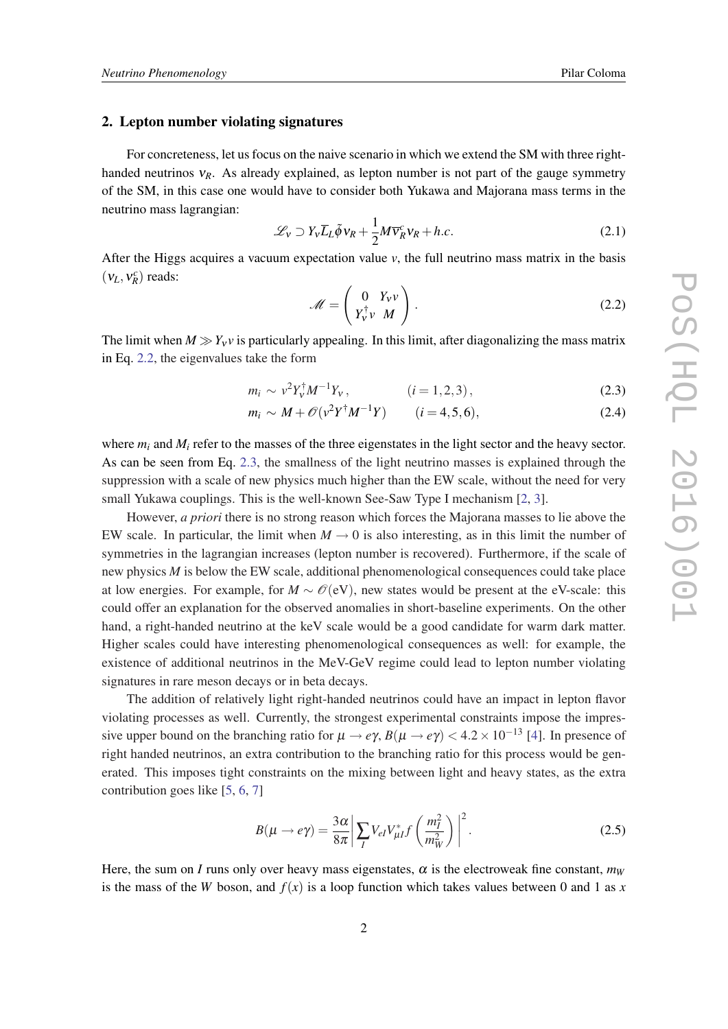#### 2. Lepton number violating signatures

For concreteness, let us focus on the naive scenario in which we extend the SM with three righthanded neutrinos ν*R*. As already explained, as lepton number is not part of the gauge symmetry of the SM, in this case one would have to consider both Yukawa and Majorana mass terms in the neutrino mass lagrangian:

$$
\mathcal{L}_V \supset Y_V \overline{L}_L \tilde{\phi} v_R + \frac{1}{2} M \overline{v}_R^c v_R + h.c.
$$
 (2.1)

After the Higgs acquires a vacuum expectation value  $v$ , the full neutrino mass matrix in the basis  $(v_L, v_R^c)$  reads:

$$
\mathcal{M} = \begin{pmatrix} 0 & Y_V v \\ Y_V^{\dagger} v & M \end{pmatrix}.
$$
 (2.2)

The limit when  $M \gg Y_v v$  is particularly appealing. In this limit, after diagonalizing the mass matrix in Eq. 2.2, the eigenvalues take the form

$$
m_i \sim v^2 Y_V^{\dagger} M^{-1} Y_V, \qquad (i = 1, 2, 3), \qquad (2.3)
$$

$$
m_i \sim M + \mathcal{O}(v^2 Y^{\dagger} M^{-1} Y) \qquad (i = 4, 5, 6), \tag{2.4}
$$

where  $m_i$  and  $M_i$  refer to the masses of the three eigenstates in the light sector and the heavy sector. As can be seen from Eq. 2.3, the smallness of the light neutrino masses is explained through the suppression with a scale of new physics much higher than the EW scale, without the need for very small Yukawa couplings. This is the well-known See-Saw Type I mechanism [\[2](#page-5-0), [3](#page-5-0)].

However, *a priori* there is no strong reason which forces the Majorana masses to lie above the EW scale. In particular, the limit when  $M \rightarrow 0$  is also interesting, as in this limit the number of symmetries in the lagrangian increases (lepton number is recovered). Furthermore, if the scale of new physics *M* is below the EW scale, additional phenomenological consequences could take place at low energies. For example, for  $M \sim \mathcal{O}(eV)$ , new states would be present at the eV-scale: this could offer an explanation for the observed anomalies in short-baseline experiments. On the other hand, a right-handed neutrino at the keV scale would be a good candidate for warm dark matter. Higher scales could have interesting phenomenological consequences as well: for example, the existence of additional neutrinos in the MeV-GeV regime could lead to lepton number violating signatures in rare meson decays or in beta decays.

The addition of relatively light right-handed neutrinos could have an impact in lepton flavor violating processes as well. Currently, the strongest experimental constraints impose the impressive upper bound on the branching ratio for  $\mu \to e\gamma$ ,  $B(\mu \to e\gamma) < 4.2 \times 10^{-13}$  [\[4\]](#page-5-0). In presence of right handed neutrinos, an extra contribution to the branching ratio for this process would be generated. This imposes tight constraints on the mixing between light and heavy states, as the extra contribution goes like [[5,](#page-5-0) [6,](#page-5-0) [7\]](#page-5-0)

$$
B(\mu \to e\gamma) = \frac{3\alpha}{8\pi} \left| \sum_{I} V_{el} V_{\mu I}^* f\left(\frac{m_I^2}{m_W^2}\right) \right|^2.
$$
 (2.5)

Here, the sum on *I* runs only over heavy mass eigenstates,  $\alpha$  is the electroweak fine constant,  $m_W$ is the mass of the *W* boson, and  $f(x)$  is a loop function which takes values between 0 and 1 as x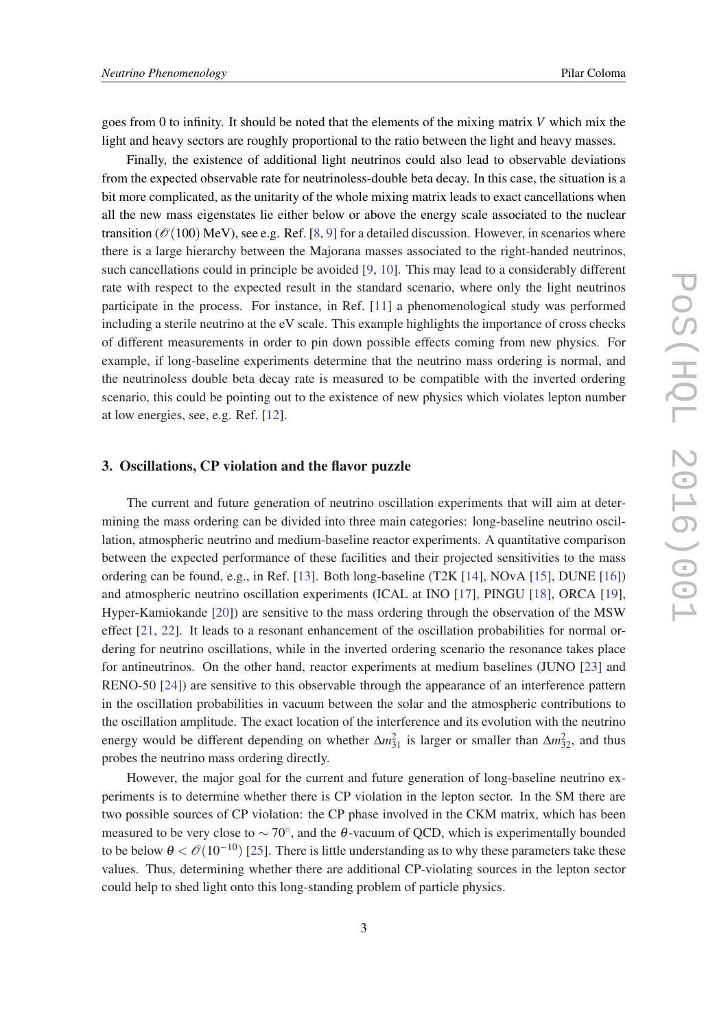goes from 0 to infinity. It should be noted that the elements of the mixing matrix *V* which mix the light and heavy sectors are roughly proportional to the ratio between the light and heavy masses.

Finally, the existence of additional light neutrinos could also lead to observable deviations from the expected observable rate for neutrinoless-double beta decay. In this case, the situation is a bit more complicated, as the unitarity of the whole mixing matrix leads to exact cancellations when all the new mass eigenstates lie either below or above the energy scale associated to the nuclear transition ( $\mathcal{O}(100)$  MeV), see e.g. Ref. [\[8,](#page-5-0) [9](#page-5-0)] for a detailed discussion. However, in scenarios where there is a large hierarchy between the Majorana masses associated to the right-handed neutrinos, such cancellations could in principle be avoided [[9](#page-5-0), [10\]](#page-6-0). This may lead to a considerably different rate with respect to the expected result in the standard scenario, where only the light neutrinos participate in the process. For instance, in Ref. [\[11](#page-6-0)] a phenomenological study was performed including a sterile neutrino at the eV scale. This example highlights the importance of cross checks of different measurements in order to pin down possible effects coming from new physics. For example, if long-baseline experiments determine that the neutrino mass ordering is normal, and the neutrinoless double beta decay rate is measured to be compatible with the inverted ordering scenario, this could be pointing out to the existence of new physics which violates lepton number at low energies, see, e.g. Ref. [[12\]](#page-6-0).

#### 3. Oscillations, CP violation and the flavor puzzle

The current and future generation of neutrino oscillation experiments that will aim at determining the mass ordering can be divided into three main categories: long-baseline neutrino oscillation, atmospheric neutrino and medium-baseline reactor experiments. A quantitative comparison between the expected performance of these facilities and their projected sensitivities to the mass ordering can be found, e.g., in Ref. [[13](#page-6-0)]. Both long-baseline (T2K [[14\]](#page-6-0), NOvA [[15\]](#page-6-0), DUNE [[16\]](#page-6-0)) and atmospheric neutrino oscillation experiments (ICAL at INO [\[17\]](#page-6-0), PINGU [\[18](#page-6-0)], ORCA [[19\]](#page-6-0), Hyper-Kamiokande [[20\]](#page-6-0)) are sensitive to the mass ordering through the observation of the MSW effect [[21,](#page-6-0) [22\]](#page-6-0). It leads to a resonant enhancement of the oscillation probabilities for normal ordering for neutrino oscillations, while in the inverted ordering scenario the resonance takes place for antineutrinos. On the other hand, reactor experiments at medium baselines (JUNO [[23\]](#page-6-0) and RENO-50 [\[24](#page-6-0)]) are sensitive to this observable through the appearance of an interference pattern in the oscillation probabilities in vacuum between the solar and the atmospheric contributions to the oscillation amplitude. The exact location of the interference and its evolution with the neutrino energy would be different depending on whether  $\Delta m_{31}^2$  is larger or smaller than  $\Delta m_{32}^2$ , and thus probes the neutrino mass ordering directly.

However, the major goal for the current and future generation of long-baseline neutrino experiments is to determine whether there is CP violation in the lepton sector. In the SM there are two possible sources of CP violation: the CP phase involved in the CKM matrix, which has been measured to be very close to  $\sim 70^{\circ}$ , and the  $\theta$ -vacuum of QCD, which is experimentally bounded to be below  $\theta < \mathcal{O}(10^{-10})$  [[25\]](#page-6-0). There is little understanding as to why these parameters take these values. Thus, determining whether there are additional CP-violating sources in the lepton sector could help to shed light onto this long-standing problem of particle physics.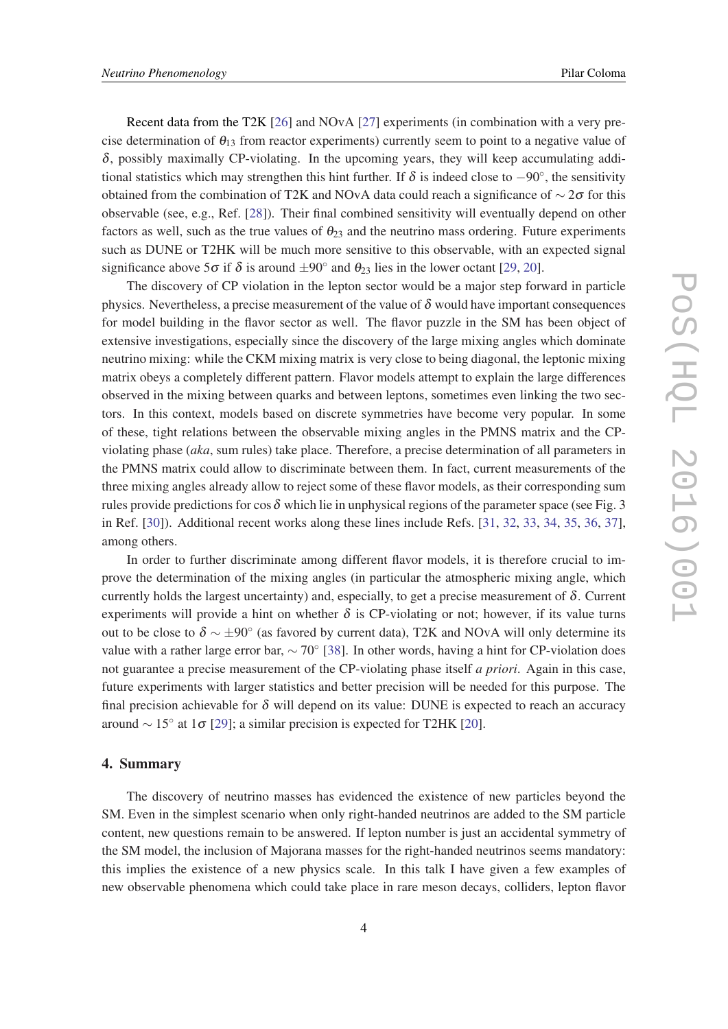Recent data from the T2K [[26\]](#page-6-0) and NOvA [\[27](#page-6-0)] experiments (in combination with a very precise determination of  $\theta_{13}$  from reactor experiments) currently seem to point to a negative value of  $\delta$ , possibly maximally CP-violating. In the upcoming years, they will keep accumulating additional statistics which may strengthen this hint further. If  $\delta$  is indeed close to  $-90^{\circ}$ , the sensitivity obtained from the combination of T2K and NOvA data could reach a significance of  $\sim$  2 $\sigma$  for this observable (see, e.g., Ref. [[28\]](#page-7-0)). Their final combined sensitivity will eventually depend on other factors as well, such as the true values of  $\theta_{23}$  and the neutrino mass ordering. Future experiments such as DUNE or T2HK will be much more sensitive to this observable, with an expected signal significance above  $5\sigma$  if  $\delta$  is around  $\pm 90^\circ$  and  $\theta_{23}$  lies in the lower octant [[29,](#page-7-0) [20](#page-6-0)].

The discovery of CP violation in the lepton sector would be a major step forward in particle physics. Nevertheless, a precise measurement of the value of  $\delta$  would have important consequences for model building in the flavor sector as well. The flavor puzzle in the SM has been object of extensive investigations, especially since the discovery of the large mixing angles which dominate neutrino mixing: while the CKM mixing matrix is very close to being diagonal, the leptonic mixing matrix obeys a completely different pattern. Flavor models attempt to explain the large differences observed in the mixing between quarks and between leptons, sometimes even linking the two sectors. In this context, models based on discrete symmetries have become very popular. In some of these, tight relations between the observable mixing angles in the PMNS matrix and the CPviolating phase (*aka*, sum rules) take place. Therefore, a precise determination of all parameters in the PMNS matrix could allow to discriminate between them. In fact, current measurements of the three mixing angles already allow to reject some of these flavor models, as their corresponding sum rules provide predictions for cos  $\delta$  which lie in unphysical regions of the parameter space (see Fig. 3) in Ref. [[30\]](#page-7-0)). Additional recent works along these lines include Refs. [[31,](#page-7-0) [32](#page-7-0), [33,](#page-7-0) [34,](#page-7-0) [35](#page-7-0), [36,](#page-7-0) [37\]](#page-7-0), among others.

In order to further discriminate among different flavor models, it is therefore crucial to improve the determination of the mixing angles (in particular the atmospheric mixing angle, which currently holds the largest uncertainty) and, especially, to get a precise measurement of  $\delta$ . Current experiments will provide a hint on whether  $\delta$  is CP-violating or not; however, if its value turns out to be close to  $\delta \sim \pm 90^{\circ}$  (as favored by current data), T2K and NOvA will only determine its value with a rather large error bar,  $\sim 70^\circ$  [[38\]](#page-7-0). In other words, having a hint for CP-violation does not guarantee a precise measurement of the CP-violating phase itself *a priori*. Again in this case, future experiments with larger statistics and better precision will be needed for this purpose. The final precision achievable for  $\delta$  will depend on its value: DUNE is expected to reach an accuracy around  $\sim 15^{\circ}$  at 1 $\sigma$  [[29](#page-7-0)]; a similar precision is expected for T2HK [\[20](#page-6-0)].

#### 4. Summary

The discovery of neutrino masses has evidenced the existence of new particles beyond the SM. Even in the simplest scenario when only right-handed neutrinos are added to the SM particle content, new questions remain to be answered. If lepton number is just an accidental symmetry of the SM model, the inclusion of Majorana masses for the right-handed neutrinos seems mandatory: this implies the existence of a new physics scale. In this talk I have given a few examples of new observable phenomena which could take place in rare meson decays, colliders, lepton flavor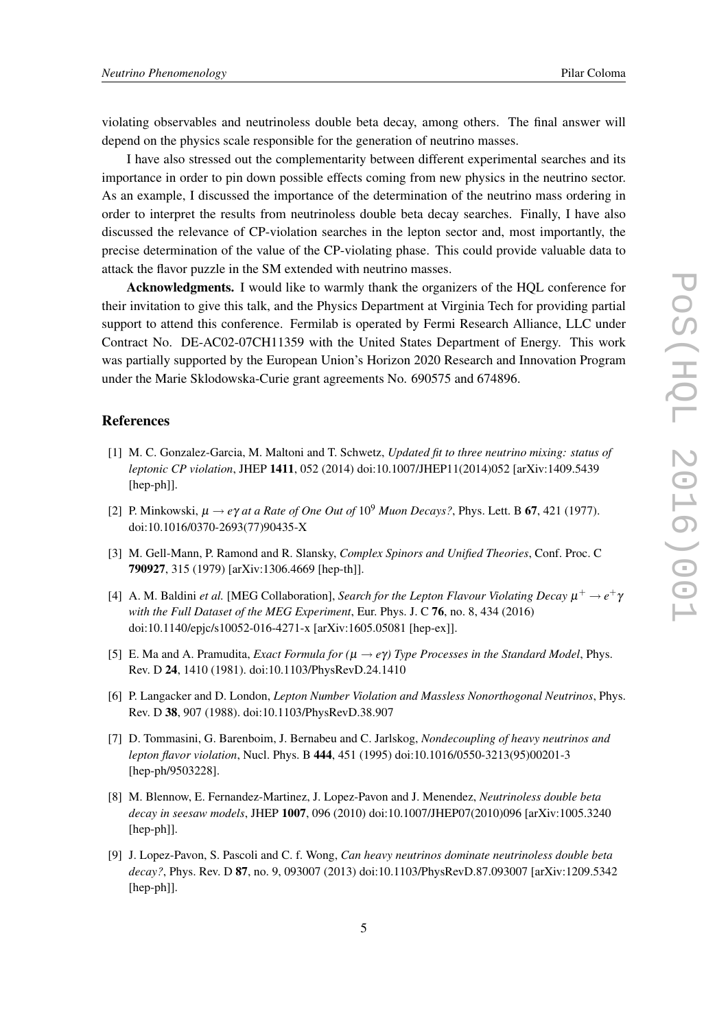<span id="page-5-0"></span>violating observables and neutrinoless double beta decay, among others. The final answer will depend on the physics scale responsible for the generation of neutrino masses.

I have also stressed out the complementarity between different experimental searches and its importance in order to pin down possible effects coming from new physics in the neutrino sector. As an example, I discussed the importance of the determination of the neutrino mass ordering in order to interpret the results from neutrinoless double beta decay searches. Finally, I have also discussed the relevance of CP-violation searches in the lepton sector and, most importantly, the precise determination of the value of the CP-violating phase. This could provide valuable data to attack the flavor puzzle in the SM extended with neutrino masses.

Acknowledgments. I would like to warmly thank the organizers of the HQL conference for their invitation to give this talk, and the Physics Department at Virginia Tech for providing partial support to attend this conference. Fermilab is operated by Fermi Research Alliance, LLC under Contract No. DE-AC02-07CH11359 with the United States Department of Energy. This work was partially supported by the European Union's Horizon 2020 Research and Innovation Program under the Marie Sklodowska-Curie grant agreements No. 690575 and 674896.

## References

- [1] M. C. Gonzalez-Garcia, M. Maltoni and T. Schwetz, *Updated fit to three neutrino mixing: status of leptonic CP violation*, JHEP 1411, 052 (2014) doi:10.1007/JHEP11(2014)052 [arXiv:1409.5439 [hep-ph]].
- [2] P. Minkowski,  $\mu \rightarrow e\gamma$  *at a Rate of One Out of*  $10^9$  *Muon Decays?*, Phys. Lett. B **67**, 421 (1977). doi:10.1016/0370-2693(77)90435-X
- [3] M. Gell-Mann, P. Ramond and R. Slansky, *Complex Spinors and Unified Theories*, Conf. Proc. C 790927, 315 (1979) [arXiv:1306.4669 [hep-th]].
- [4] A. M. Baldini *et al.* [MEG Collaboration], *Search for the Lepton Flavour Violating Decay*  $\mu^+ \to e^+ \gamma$ *with the Full Dataset of the MEG Experiment*, Eur. Phys. J. C 76, no. 8, 434 (2016) doi:10.1140/epjc/s10052-016-4271-x [arXiv:1605.05081 [hep-ex]].
- [5] E. Ma and A. Pramudita, *Exact Formula for (*µ → *e*γ*) Type Processes in the Standard Model*, Phys. Rev. D 24, 1410 (1981). doi:10.1103/PhysRevD.24.1410
- [6] P. Langacker and D. London, *Lepton Number Violation and Massless Nonorthogonal Neutrinos*, Phys. Rev. D 38, 907 (1988). doi:10.1103/PhysRevD.38.907
- [7] D. Tommasini, G. Barenboim, J. Bernabeu and C. Jarlskog, *Nondecoupling of heavy neutrinos and lepton flavor violation*, Nucl. Phys. B 444, 451 (1995) doi:10.1016/0550-3213(95)00201-3 [hep-ph/9503228].
- [8] M. Blennow, E. Fernandez-Martinez, J. Lopez-Pavon and J. Menendez, *Neutrinoless double beta decay in seesaw models*, JHEP 1007, 096 (2010) doi:10.1007/JHEP07(2010)096 [arXiv:1005.3240 [hep-ph]].
- [9] J. Lopez-Pavon, S. Pascoli and C. f. Wong, *Can heavy neutrinos dominate neutrinoless double beta decay?*, Phys. Rev. D 87, no. 9, 093007 (2013) doi:10.1103/PhysRevD.87.093007 [arXiv:1209.5342 [hep-ph]].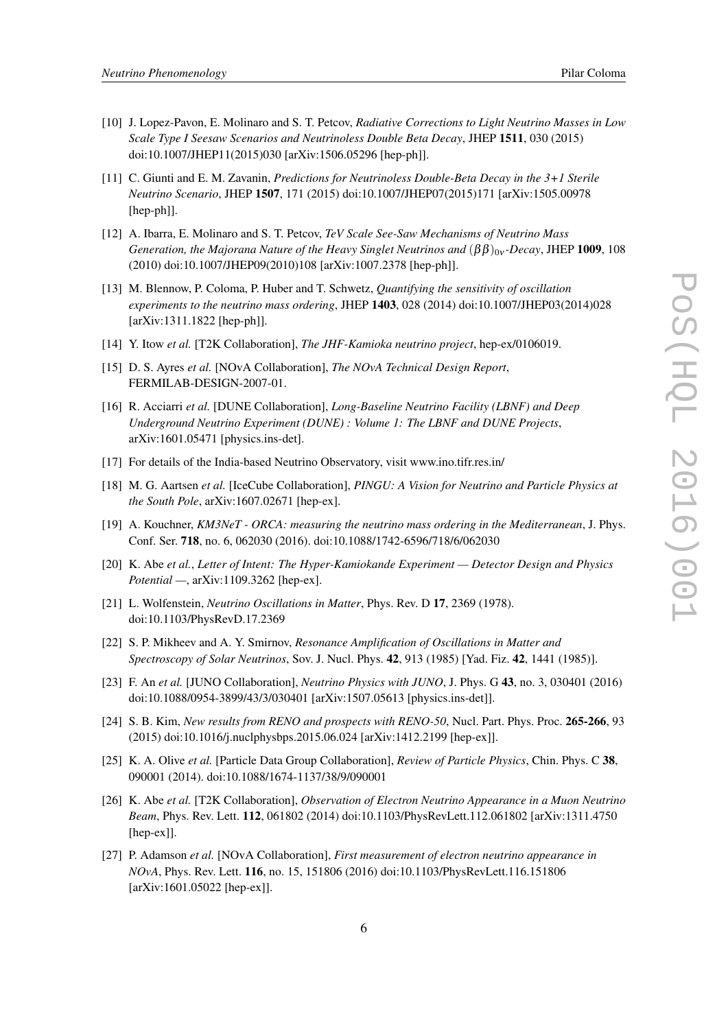- <span id="page-6-0"></span>[10] J. Lopez-Pavon, E. Molinaro and S. T. Petcov, *Radiative Corrections to Light Neutrino Masses in Low Scale Type I Seesaw Scenarios and Neutrinoless Double Beta Decay*, JHEP 1511, 030 (2015) doi:10.1007/JHEP11(2015)030 [arXiv:1506.05296 [hep-ph]].
- [11] C. Giunti and E. M. Zavanin, *Predictions for Neutrinoless Double-Beta Decay in the 3+1 Sterile Neutrino Scenario*, JHEP 1507, 171 (2015) doi:10.1007/JHEP07(2015)171 [arXiv:1505.00978 [hep-ph]].
- [12] A. Ibarra, E. Molinaro and S. T. Petcov, *TeV Scale See-Saw Mechanisms of Neutrino Mass Generation, the Majorana Nature of the Heavy Singlet Neutrinos and*  $(\beta \beta)_{0v}$ *-Decay, JHEP* 1009, 108 (2010) doi:10.1007/JHEP09(2010)108 [arXiv:1007.2378 [hep-ph]].
- [13] M. Blennow, P. Coloma, P. Huber and T. Schwetz, *Quantifying the sensitivity of oscillation experiments to the neutrino mass ordering*, JHEP 1403, 028 (2014) doi:10.1007/JHEP03(2014)028 [arXiv:1311.1822 [hep-ph]].
- [14] Y. Itow *et al.* [T2K Collaboration], *The JHF-Kamioka neutrino project*, hep-ex/0106019.
- [15] D. S. Ayres *et al.* [NOvA Collaboration], *The NOvA Technical Design Report*, FERMILAB-DESIGN-2007-01.
- [16] R. Acciarri *et al.* [DUNE Collaboration], *Long-Baseline Neutrino Facility (LBNF) and Deep Underground Neutrino Experiment (DUNE) : Volume 1: The LBNF and DUNE Projects*, arXiv:1601.05471 [physics.ins-det].
- [17] For details of the India-based Neutrino Observatory, visit www.ino.tifr.res.in/
- [18] M. G. Aartsen *et al.* [IceCube Collaboration], *PINGU: A Vision for Neutrino and Particle Physics at the South Pole*, arXiv:1607.02671 [hep-ex].
- [19] A. Kouchner, *KM3NeT ORCA: measuring the neutrino mass ordering in the Mediterranean*, J. Phys. Conf. Ser. 718, no. 6, 062030 (2016). doi:10.1088/1742-6596/718/6/062030
- [20] K. Abe *et al.*, *Letter of Intent: The Hyper-Kamiokande Experiment Detector Design and Physics Potential —*, arXiv:1109.3262 [hep-ex].
- [21] L. Wolfenstein, *Neutrino Oscillations in Matter*, Phys. Rev. D 17, 2369 (1978). doi:10.1103/PhysRevD.17.2369
- [22] S. P. Mikheev and A. Y. Smirnov, *Resonance Amplification of Oscillations in Matter and Spectroscopy of Solar Neutrinos*, Sov. J. Nucl. Phys. 42, 913 (1985) [Yad. Fiz. 42, 1441 (1985)].
- [23] F. An *et al.* [JUNO Collaboration], *Neutrino Physics with JUNO*, J. Phys. G 43, no. 3, 030401 (2016) doi:10.1088/0954-3899/43/3/030401 [arXiv:1507.05613 [physics.ins-det]].
- [24] S. B. Kim, *New results from RENO and prospects with RENO-50*, Nucl. Part. Phys. Proc. 265-266, 93 (2015) doi:10.1016/j.nuclphysbps.2015.06.024 [arXiv:1412.2199 [hep-ex]].
- [25] K. A. Olive *et al.* [Particle Data Group Collaboration], *Review of Particle Physics*, Chin. Phys. C 38, 090001 (2014). doi:10.1088/1674-1137/38/9/090001
- [26] K. Abe *et al.* [T2K Collaboration], *Observation of Electron Neutrino Appearance in a Muon Neutrino Beam*, Phys. Rev. Lett. 112, 061802 (2014) doi:10.1103/PhysRevLett.112.061802 [arXiv:1311.4750 [hep-ex]].
- [27] P. Adamson *et al.* [NOvA Collaboration], *First measurement of electron neutrino appearance in NOvA*, Phys. Rev. Lett. 116, no. 15, 151806 (2016) doi:10.1103/PhysRevLett.116.151806 [arXiv:1601.05022 [hep-ex]].